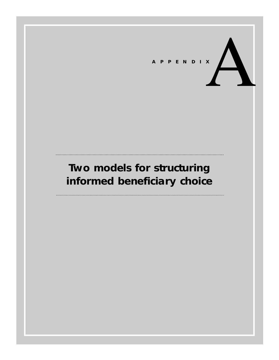

# **Two models for structuring informed beneficiary choice**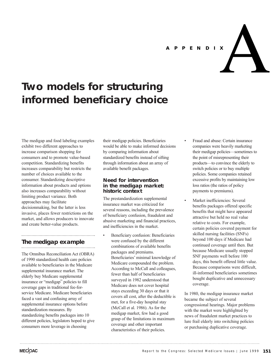

APPENDIX<br>**A** 

# **Two models for structuring informed beneficiary choice**

The medigap and food labeling examples exhibit two different approaches to increase comparison shopping for consumers and to promote value-based competition. Standardizing benefits increases comparability but restricts the number of choices available to the consumer. Standardizing descriptive information about products and options also increases comparability without limiting product variance. Both approaches may facilitate decisionmaking, but the latter is less invasive, places fewer restrictions on the market, and allows producers to innovate and create better-value products.

# **The medigap example**

The Omnibus Reconciliation Act (OBRA) of 1990 standardized health care policies available to beneficiaries in the Medicare supplemental insurance market. The elderly buy Medicare supplemental insurance or "medigap" policies to fill coverage gaps in traditional fee-forservice Medicare. Medicare beneficiaries faced a vast and confusing array of supplemental insurance options before standardization measures. By standardizing benefits packages into 10 different policies, legislators hoped to give consumers more leverage in choosing

their medigap policies. Beneficiaries would be able to make informed decisions by comparing information about standardized benefits instead of sifting through information about an array of available benefit packages.

# **Need for intervention in the medigap market: historic context**

The prestandardization supplemental insurance market was criticized for several reasons, including the prevalence of beneficiary confusion, fraudulent and abusive marketing and financial practices, and inefficiencies in the market.

• Beneficiary confusion: Beneficiaries were confused by the different combinations of available benefits packages and premiums. Beneficiaries' minimal knowledge of Medicare compounded the problem. According to McCall and colleagues, fewer than half of beneficiaries surveyed in 1982 understood that Medicare does not cover hospital stays exceeding 30 days or that it covers all cost, after the deductible is met, for a five-day hospital stay (McCall et al. 1986). As for the medigap market, few had a good grasp of the limitations in maximum coverage and other important characteristics of their policies.

- Fraud and abuse: Certain insurance companies were heavily marketing their medigap policies—sometimes to the point of misrepresenting their products—to convince the elderly to switch policies or to buy multiple policies. Some companies retained excessive profits by maintaining low loss ratios (the ratios of policy payments to premiums).
- Market inefficiencies: Several benefits packages offered specific benefits that might have appeared attractive but held no real value relative to costs. For example, certain policies covered payment for skilled nursing facilities (SNFs) beyond 100 days if Medicare had continued coverage until then. But because Medicare usually stopped SNF payments well before 100 days, this benefit offered little value. Because comparisons were difficult, ill-informed beneficiaries sometimes bought duplicative and unnecessary coverage.

In 1980, the medigap insurance market became the subject of several congressional hearings. Major problems with the market were highlighted by news of fraudulent market practices to lure frail elderly into switching policies or purchasing duplicative coverage.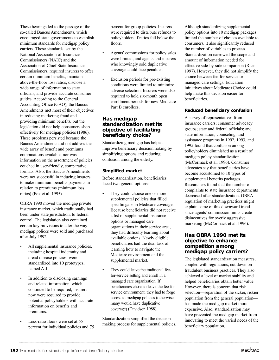These hearings led to the passage of the so-called Baucus Amendments, which encouraged state governments to establish minimum standards for medigap policy carriers. These standards, set by the National Association of Insurance Commissioners (NAIC) and the Association of Chief State Insurance Commissioners, required insurers to offer certain minimum benefits, maintain above-the-floor loss ratios, disclose a wide range of information to state officials, and provide accurate consumer guides. According to the General Accounting Office (GAO), the Baucus Amendments met most of their objectives in reducing marketing fraud and providing minimum benefits, but the legislation did not help consumers shop effectively for medigap policies (1986). These problems persisted because the Baucus Amendments did not address the wide array of benefit and premiums combinations available, nor was information on the assortment of policies couched in user-friendly, comparative formats. Also, the Baucus Amendments were not successful in inducing insurers to make minimum benefits payments in relation to premiums (minimum loss ratios) (Fox et al. 1995).

OBRA 1990 moved the medigap private insurance market, which traditionally had been under state jurisdiction, to federal control. The legislation also contained certain key provisions to alter the way medigap polices were sold and purchased after July 1992:

- All supplemental insurance policies, including hospital indemnity and dread disease policies, were standardized into 10 prototypes, named A-J.
- In addition to disclosing earnings and related information, which continued to be required, insurers now were required to provide potential policyholders with accurate information on benefits and premiums.
- Loss-ratio floors were set at 65 percent for individual policies and 75

percent for group policies. Insurers were required to distribute refunds to policyholders if ratios fell below the floors.

- Agents' commissions for policy sales were limited, and agents and insurers who knowingly sold duplicative coverage could face penalties.
- Exclusion periods for pre-existing conditions were limited to minimize adverse selection. Insurers were also required to hold six-month open enrollment periods for new Medicare Part B enrollees.

## **Has medigap standardization met its objective of facilitating beneficiary choice?**

Standardizing medigap has helped improve beneficiary decisionmaking by simplifying options and reducing confusion among the elderly.

# **Simplified market**

Before standardization, beneficiaries faced two general options:

- They could choose one or more supplemental policies that filled specific gaps in Medicare coverage. Because beneficiaries did not receive a list of supplemental insurance options or managed care organizations in their service area, they had difficulty learning about available options. Newly eligible beneficiaries had the dual task of learning how to navigate the Medicare environment and the supplemental market.
- They could leave the traditional feefor-service setting and enroll in a managed care organization. If beneficiaries chose to leave the fee-forservice environment, they had to forgo access to medigap policies (otherwise, many would have duplicative coverage) (Davidson 1988).

Standardization simplified the decisionmaking process for supplemental policies.

Although standardizing supplemental policy options into 10 medigap packages limited the number of choices available to consumers, it also significantly reduced the number of variables to process. Standardization narrowed the scope and amount of information needed for effective side-by-side comparison (Rice 1997). However, they did not simplify the choice between fee-for-service or managed care settings. Education initiatives about Medicare+Choice could help make this decision easier for beneficiaries.

# **Reduced beneficiary confusion**

A survey of representatives from insurance carriers; consumer advocacy groups; state and federal officials; and state information, counseling, and assistance programs in 1992, 1993, and 1995 found that confusion among policyholders diminished as a result of medigap policy standardization (McCormack et al. 1996). Consumer advocates say that beneficiaries have become accustomed to 10 types of supplemental benefits packages. Researchers found that the number of complaints to state insurance departments decreased after standardization. OBRA regulation of marketing practices might explain some of this downward trend since agents' commission limits create disincentives for overly aggressive marketing (McCormack et al. 1996).

# **Has OBRA 1990 met its objective to enhance competition among medigap policy carriers?**

The legislated standardization measures, coupled with regulations, cut down on fraudulent business practices. They also achieved a level of market stability and helped beneficiaries obtain better value. However, there is concern that risk selection—separation of the sicker, riskier population from the general population has made the medigap market more expensive. Also, standardization may have prevented the medigap market from innovating to meet the varied needs of the beneficiary population.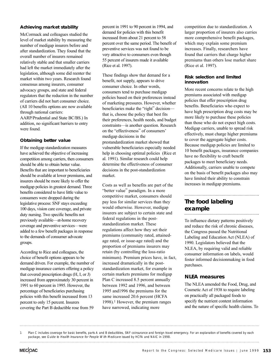#### **Achieving market stability**

McCormack and colleagues studied the level of market stability by measuring the number of medigap insurers before and after standardization. They found that the overall number of insurers remained relatively stable and that smaller carriers had left the market immediately after the legislation, although some did reenter the market within two years. Research found consensus among insurers, consumer advocacy groups, and state and federal regulators that the reduction in the number of carriers did not hurt consumer choice. (All 10 benefits options are now available through national carriers: AARP/Prudential and State BC/BS.) In addition, no significant barriers to entry were found.

#### **Obtaining better value**

If the medigap standardization measures have achieved the objective of increasing competition among carriers, then consumers should be able to obtain better value. Benefits that are important to beneficiaries should be available at lower premiums, and insurers should be more likely to offer the medigap policies in greatest demand. Three benefits considered to have little value to consumers were dropped during the legislative process: SNF stays exceeding 100 days, vision care coverage, and private duty nursing. Two specific benefits not previously available—at-home recovery coverage and preventive services—were added to a few benefit packages in response to the demands of consumer advocate groups.

According to Rice and colleagues, the choice of benefit options appears to be demand driven. For example, the number of medigap insurance carriers offering a policy that covered prescription drugs (H, I, or J) increased from approximately 30 percent in 1991 to 60 percent in 1995. However, the percentage of beneficiaries purchasing policies with this benefit increased from 13 percent to only 15 percent. Insurers covering the Part B deductible rose from 59

percent in 1991 to 90 percent in 1994, and demand for policies with this benefit increased from about 21 percent to 58 percent over the same period. The benefit of preventive services was not found to be very attractive to consumers even though 55 percent of insurers made it available (Rice et al. 1997).

These findings show that demand for a benefit, not supply, appears to drive consumer choice. In other words, consumers tend to purchase medigap policies based on their preferences instead of marketing pressures. However, whether beneficiaries make the "right" decision that is, choose the policy that best fits their preferences, health needs, and budget constraints—is another question. Research on the "effectiveness" of consumers' medigap decisions in the prestandardization market showed that vulnerable beneficiaries especially needed help in choosing optimal policies (Rice et al. 1991). Similar research could help determine the effectiveness of consumer decisions in the post-standardization market.

Costs as well as benefits are part of the "better value" paradigm. In a more competitive market, consumers should pay less for similar services than they would otherwise. However, medigap insurers are subject to certain state and federal regulations in the poststandardization market. These regulations affect how they set their premiums (community rated, attainedage rated, or issue-age rated) and the proportion of premiums insurers may retain (by controlling the loss-ratio minimum). Premium prices have, in fact, increased dramatically in the poststandardization market, for example in certain markets premiums for medigap Plan C increased 8.5 percent annually between 1992 and 1996, and between 1995 and1996 the premiums for the same increased 20.6 percent (HCFA 1998).<sup>1</sup> However, the premium ranges have narrowed, indicating more

competition due to standardization. A larger proportion of insurers also carries more comprehensive benefit packages, which may explain some premium increases. Finally, researchers have found that carriers that charge higher premiums than others lose market share (Rice et al. 1997).

#### **Risk selection and limited innovation**

More recent concerns relate to the high premiums associated with medigap policies that offer prescription drug benefits. Beneficiaries who expect to have high prescription drug costs may be more likely to purchase these policies than those who do not expect high costs. Medigap carriers, unable to spread risk effectively, must charge higher premiums to cover the aggregate higher costs. Because medigap policies are limited to 10 benefit packages, insurance companies have no flexibility to craft benefit packages to meet beneficiary needs. Additionally, carriers unable to compete on the basis of benefit packages also may have limited their ability to constrain increases in medigap premiums.

#### **The food labeling example**

To influence dietary patterns positively and reduce the risk of chronic diseases, the Congress passed the Nutritional Labeling and Education Act (NLEA) of 1990. Legislators believed that the NLEA, by requiring valid and reliable consumer information on labels, would foster informed decisionmaking in food purchases.

# **NLEA measures**

The NLEA amended the Food, Drug, and Cosmetic Act of 1938 to require labeling on practically all packaged foods to specify the nutrient content information and the nature of specific health claims. To

1 Plan C includes coverage for basic benefits, parts A and B deductibles, SNF coinsurance and foreign travel emergency. For an explanation of benefits covered by each package, see Guide to Health Insurance for People With Medicare issued by HCFA and NAIC in 1998.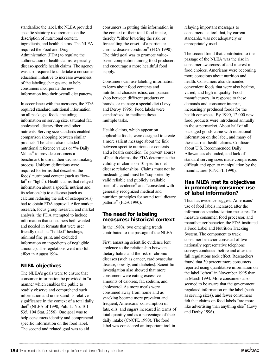standardize the label, the NLEA provided specific statutory requirements on the description of nutritional content, ingredients, and health claims. The NLEA required the Food and Drug Administration (FDA) to regulate the authorization of health claims, especially disease-specific health claims. The agency was also required to undertake a consumer education initiative to increase awareness of the labeling changes and to help consumers incorporate the new information into their overall diet patterns.

In accordance with the measures, the FDA required standard nutritional information on all packaged foods, including information on serving size, saturated fat, cholesterol, dietary fiber, and other nutrients. Serving size standards enabled comparison shopping between similar products. The labels also included nutritional reference values or "% Daily Values" to provide consumers a benchmark to use in their decisionmaking process. Uniform definitions were required for terms that described the foods' nutritional content (such as "lowfat" or "light"). Health claims that relayed information about a specific nutrient and its relationship to a disease (such as calcium reducing the risk of osteoporosis) had to obtain FDA approval. After market research, focus group research, and market analysis, the FDA attempted to include information that consumers both wanted and needed in formats that were user friendly (such as "bolded" headings, minimal fine print, and excluded information on ingredients of negligible amounts). The regulations went into full effect in August 1994.

# **NLEA objectives**

The NLEA's goals were to ensure that consumer information be provided in "a manner which enables the public to readily observe and comprehend such information and understand its relative significance in the context of a total daily diet" (NLEA of 1990, Pub. L. No. 101- 535, 104 Stat. 2356). One goal was to help consumers identify and comprehend specific information on the food label. The second and related goal was to aid

consumers in putting this information in the context of their total food intake, thereby "either lowering the risk, or forestalling the onset, of a particular chronic disease condition" (FDA 1990). The third goal was to promote valuebased competition among food producers and encourage a more healthful food supply.

Consumers can use labeling information to learn about food contents and nutritional characteristics, comparison shop between different products or brands, or manage a special diet (Levy and Derby 1996). Food labels were standardized to facilitate these multiple tasks.

Health claims, which appear on applicable foods, were designed to create a more salient message about the link between specific nutrients or contents and a health condition. To prevent abuses of health claims, the FDA determines the validity of claims on 10 specific dietdisease relationships. Claims must not be misleading and must be "supported by valid reliable and publicly available scientific evidence" and "consistent with generally recognized medical and nutrition principles for sound total dietary patterns" (FDA 1990).

# **The need for labeling measures: historical context**

In the 1980s, two emerging trends contributed to the passage of the NLEA.

First, amassing scientific evidence lent credence to the relationship between dietary habits and the risk of chronic diseases (such as cancer, cardiovascular disease, obesity, and diabetes). Scientific investigation also showed that more consumers were eating excessive amounts of calories, fat, sodium, and cholesterol. As more meals were consumed away from home and as snacking became more prevalent and frequent, Americans' consumption of fats, oils, and sugars increased in terms of total quantity and as a percentage of their daily intake (CNCFL 1990). The food label was considered an important tool in

relaying important messages to consumers—a tool that, by current standards, was not adequately or appropriately used.

The second trend that contributed to the passage of the NLEA was the rise in consumer awareness of and interest in food choices. Americans were becoming more conscious about nutrition and health. Consumers also demanded convenient foods that were also healthy, varied, and high in quality. Food manufacturers, in response to these demands and consumer interest, increasingly produced foods for the health conscious. By 1990, 12,000 new food products were introduced annually in the supermarket. About half of all packaged goods came with nutritional information on the label, and many of these carried health claims. Confusion about U.S. Recommended Daily Allowances abounded, and lack of standard serving sizes made comparisons difficult and open to manipulation by the manufacturer (CNCFL 1990).

## **Has NLEA met its objectives in promoting consumer use of label information?**

Thus far, evidence suggests Americans' use of food labels increased after the information standardization measures. To measure consumer, food processor, and manufacturer behavior, the FDA instituted a Food Label and Nutrition Tracking System. The component to track consumer behavior consisted of two nationally representative telephone surveys conducted before and after the full regulations took effect. Researchers found that 30 percent more consumers reported using quantitative information on the label "often" in November 1995 than in March 1994. More consumers also seemed to be aware that the government regulated information on the label (such as serving sizes), and fewer consumers felt that claims on food labels "are more like advertising than anything else" (Levy and Derby 1996).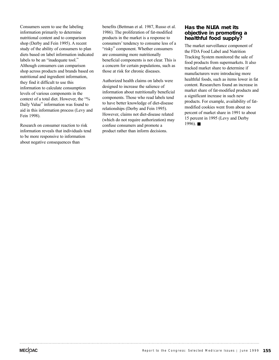Consumers seem to use the labeling information primarily to determine nutritional content and to comparison shop (Derby and Fein 1995). A recent study of the ability of consumers to plan diets based on label information indicated labels to be an "inadequate tool." Although consumers can comparison shop across products and brands based on nutritional and ingredient information, they find it difficult to use this information to calculate consumption levels of various components in the context of a total diet. However, the "% Daily Value" information was found to aid in this information process (Levy and Fein 1998).

Research on consumer reaction to risk information reveals that individuals tend to be more responsive to information about negative consequences than

benefits (Bettman et al. 1987, Russo et al. 1986). The proliferation of fat-modified products in the market is a response to consumers' tendency to consume less of a "risky" component. Whether consumers are consuming more nutritionally beneficial components is not clear. This is a concern for certain populations, such as those at risk for chronic diseases.

Authorized health claims on labels were designed to increase the salience of information about nutritionally beneficial components. Those who read labels tend to have better knowledge of diet-disease relationships (Derby and Fein 1995). However, claims not diet-disease related (which do not require authorization) may confuse consumers and promote a product rather than inform decisions.

## **Has the NLEA met its objective in promoting a healthful food supply?**

The market surveillance component of the FDA Food Label and Nutrition Tracking System monitored the sale of food products from supermarkets. It also tracked market share to determine if manufacturers were introducing more healthful foods, such as items lower in fat content. Researchers found an increase in market share of fat-modified products and a significant increase in such new products. For example, availability of fatmodified cookies went from about no percent of market share in 1991 to about 15 percent in 1995 (Levy and Derby  $1996$ ). ■